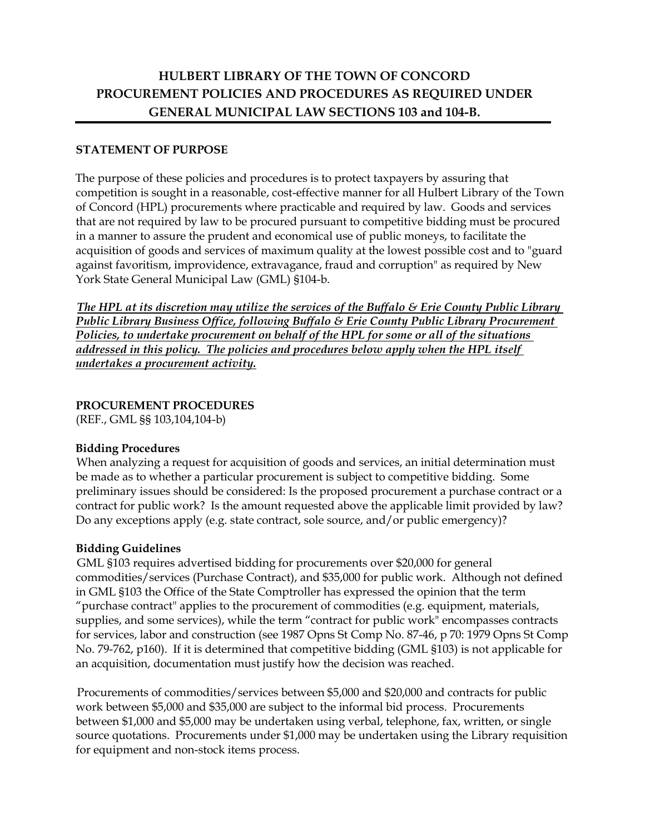# **HULBERT LIBRARY OF THE TOWN OF CONCORD PROCUREMENT POLICIES AND PROCEDURES AS REQUIRED UNDER GENERAL MUNICIPAL LAW SECTIONS 103 and 104-B.**

## **STATEMENT OF PURPOSE**

The purpose of these policies and procedures is to protect taxpayers by assuring that competition is sought in a reasonable, cost-effective manner for all Hulbert Library of the Town of Concord (HPL) procurements where practicable and required by law. Goods and services that are not required by law to be procured pursuant to competitive bidding must be procured in a manner to assure the prudent and economical use of public moneys, to facilitate the acquisition of goods and services of maximum quality at the lowest possible cost and to "guard against favoritism, improvidence, extravagance, fraud and corruption" as required by New York State General Municipal Law (GML) §104-b.

*The HPL at its discretion may utilize the services of the Buffalo & Erie County Public Library Public Library Business Office, following Buffalo & Erie County Public Library Procurement Policies, to undertake procurement on behalf of the HPL for some or all of the situations addressed in this policy. The policies and procedures below apply when the HPL itself undertakes a procurement activity.*

## **PROCUREMENT PROCEDURES**

(REF., GML §§ 103,104,104-b)

## **Bidding Procedures**

When analyzing a request for acquisition of goods and services, an initial determination must be made as to whether a particular procurement is subject to competitive bidding. Some preliminary issues should be considered: Is the proposed procurement a purchase contract or a contract for public work? Is the amount requested above the applicable limit provided by law? Do any exceptions apply (e.g. state contract, sole source, and/or public emergency)?

## **Bidding Guidelines**

GML §103 requires advertised bidding for procurements over \$20,000 for general commodities/services (Purchase Contract), and \$35,000 for public work. Although not defined in GML §103 the Office of the State Comptroller has expressed the opinion that the term "purchase contract" applies to the procurement of commodities (e.g. equipment, materials, supplies, and some services), while the term "contract for public work" encompasses contracts for services, labor and construction (see 1987 Opns St Comp No. 87-46, p 70: 1979 Opns St Comp No. 79-762, p160). If it is determined that competitive bidding (GML §103) is not applicable for an acquisition, documentation must justify how the decision was reached.

Procurements of commodities/services between \$5,000 and \$20,000 and contracts for public work between \$5,000 and \$35,000 are subject to the informal bid process. Procurements between \$1,000 and \$5,000 may be undertaken using verbal, telephone, fax, written, or single source quotations. Procurements under \$1,000 may be undertaken using the Library requisition for equipment and non-stock items process.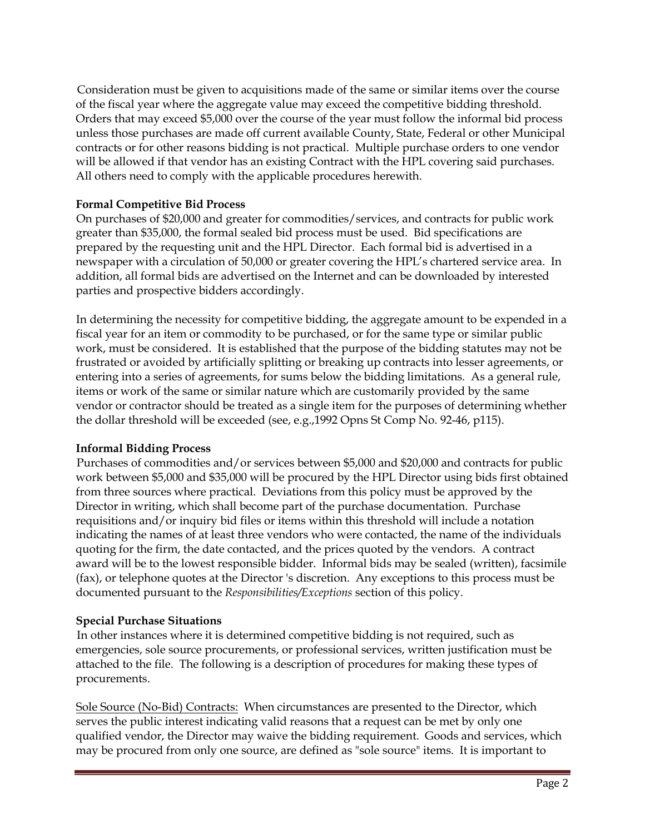Consideration must be given to acquisitions made of the same or similar items over the course of the fiscal year where the aggregate value may exceed the competitive bidding threshold. Orders that may exceed \$5,000 over the course of the year must follow the informal bid process unless those purchases are made off current available County, State, Federal or other Municipal contracts or for other reasons bidding is not practical. Multiple purchase orders to one vendor will be allowed if that vendor has an existing Contract with the HPL covering said purchases. All others need to comply with the applicable procedures herewith.

## **Formal Competitive Bid Process**

On purchases of \$20,000 and greater for commodities/services, and contracts for public work greater than \$35,000, the formal sealed bid process must be used. Bid specifications are prepared by the requesting unit and the HPL Director. Each formal bid is advertised in a newspaper with a circulation of 50,000 or greater covering the HPL's chartered service area. In addition, all formal bids are advertised on the Internet and can be downloaded by interested parties and prospective bidders accordingly.

In determining the necessity for competitive bidding, the aggregate amount to be expended in a fiscal year for an item or commodity to be purchased, or for the same type or similar public work, must be considered. It is established that the purpose of the bidding statutes may not be frustrated or avoided by artificially splitting or breaking up contracts into lesser agreements, or entering into a series of agreements, for sums below the bidding limitations. As a general rule, items or work of the same or similar nature which are customarily provided by the same vendor or contractor should be treated as a single item for the purposes of determining whether the dollar threshold will be exceeded (see, e.g.,1992 Opns St Comp No. 92-46, p115).

## **Informal Bidding Process**

Purchases of commodities and/or services between \$5,000 and \$20,000 and contracts for public work between \$5,000 and \$35,000 will be procured by the HPL Director using bids first obtained from three sources where practical. Deviations from this policy must be approved by the Director in writing, which shall become part of the purchase documentation. Purchase requisitions and/or inquiry bid files or items within this threshold will include a notation indicating the names of at least three vendors who were contacted, the name of the individuals quoting for the firm, the date contacted, and the prices quoted by the vendors. A contract award will be to the lowest responsible bidder. Informal bids may be sealed (written), facsimile (fax), or telephone quotes at the Director 's discretion. Any exceptions to this process must be documented pursuant to the *Responsibilities/Exceptions* section of this policy.

## **Special Purchase Situations**

In other instances where it is determined competitive bidding is not required, such as emergencies, sole source procurements, or professional services, written justification must be attached to the file. The following is a description of procedures for making these types of procurements.

Sole Source (No-Bid) Contracts: When circumstances are presented to the Director, which serves the public interest indicating valid reasons that a request can be met by only one qualified vendor, the Director may waive the bidding requirement. Goods and services, which may be procured from only one source, are defined as "sole source" items. It is important to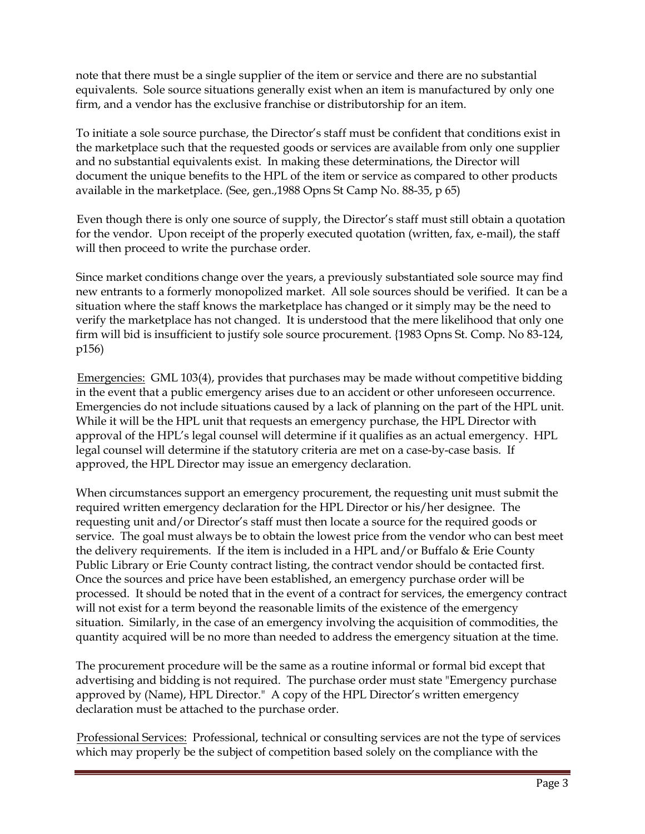note that there must be a single supplier of the item or service and there are no substantial equivalents. Sole source situations generally exist when an item is manufactured by only one firm, and a vendor has the exclusive franchise or distributorship for an item.

To initiate a sole source purchase, the Director's staff must be confident that conditions exist in the marketplace such that the requested goods or services are available from only one supplier and no substantial equivalents exist. In making these determinations, the Director will document the unique benefits to the HPL of the item or service as compared to other products available in the marketplace. (See, gen.,1988 Opns St Camp No. 88-35, p 65)

Even though there is only one source of supply, the Director's staff must still obtain a quotation for the vendor. Upon receipt of the properly executed quotation (written, fax, e-mail), the staff will then proceed to write the purchase order.

Since market conditions change over the years, a previously substantiated sole source may find new entrants to a formerly monopolized market. All sole sources should be verified. It can be a situation where the staff knows the marketplace has changed or it simply may be the need to verify the marketplace has not changed. It is understood that the mere likelihood that only one firm will bid is insufficient to justify sole source procurement. {1983 Opns St. Comp. No 83-124, p156)

Emergencies: GML 103(4), provides that purchases may be made without competitive bidding in the event that a public emergency arises due to an accident or other unforeseen occurrence. Emergencies do not include situations caused by a lack of planning on the part of the HPL unit. While it will be the HPL unit that requests an emergency purchase, the HPL Director with approval of the HPL's legal counsel will determine if it qualifies as an actual emergency. HPL legal counsel will determine if the statutory criteria are met on a case-by-case basis. If approved, the HPL Director may issue an emergency declaration.

When circumstances support an emergency procurement, the requesting unit must submit the required written emergency declaration for the HPL Director or his/her designee. The requesting unit and/or Director's staff must then locate a source for the required goods or service. The goal must always be to obtain the lowest price from the vendor who can best meet the delivery requirements. If the item is included in a HPL and/or Buffalo & Erie County Public Library or Erie County contract listing, the contract vendor should be contacted first. Once the sources and price have been established, an emergency purchase order will be processed. It should be noted that in the event of a contract for services, the emergency contract will not exist for a term beyond the reasonable limits of the existence of the emergency situation. Similarly, in the case of an emergency involving the acquisition of commodities, the quantity acquired will be no more than needed to address the emergency situation at the time.

The procurement procedure will be the same as a routine informal or formal bid except that advertising and bidding is not required. The purchase order must state "Emergency purchase approved by (Name), HPL Director." A copy of the HPL Director's written emergency declaration must be attached to the purchase order.

Professional Services: Professional, technical or consulting services are not the type of services which may properly be the subject of competition based solely on the compliance with the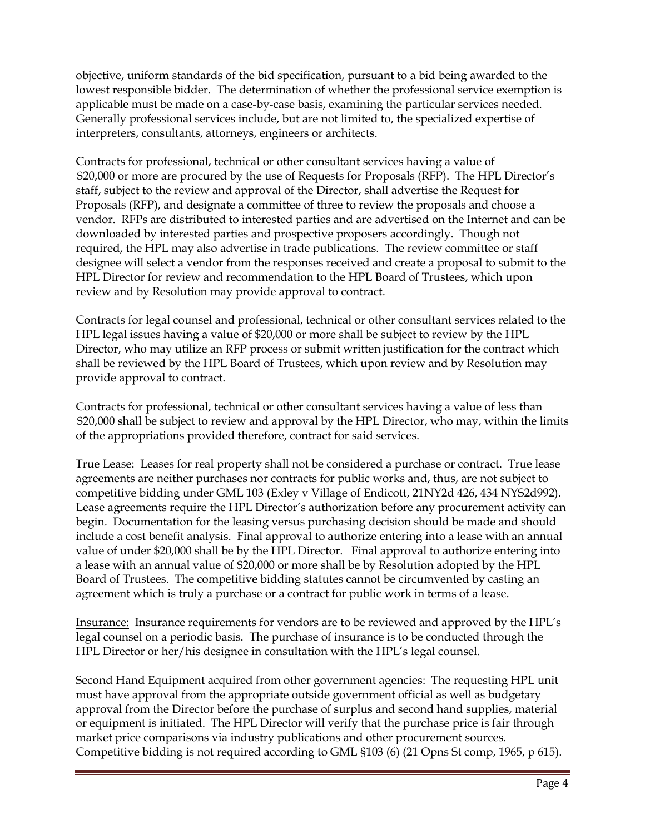objective, uniform standards of the bid specification, pursuant to a bid being awarded to the lowest responsible bidder. The determination of whether the professional service exemption is applicable must be made on a case-by-case basis, examining the particular services needed. Generally professional services include, but are not limited to, the specialized expertise of interpreters, consultants, attorneys, engineers or architects.

Contracts for professional, technical or other consultant services having a value of \$20,000 or more are procured by the use of Requests for Proposals (RFP). The HPL Director's staff, subject to the review and approval of the Director, shall advertise the Request for Proposals (RFP), and designate a committee of three to review the proposals and choose a vendor. RFPs are distributed to interested parties and are advertised on the Internet and can be downloaded by interested parties and prospective proposers accordingly. Though not required, the HPL may also advertise in trade publications. The review committee or staff designee will select a vendor from the responses received and create a proposal to submit to the HPL Director for review and recommendation to the HPL Board of Trustees, which upon review and by Resolution may provide approval to contract.

Contracts for legal counsel and professional, technical or other consultant services related to the HPL legal issues having a value of \$20,000 or more shall be subject to review by the HPL Director, who may utilize an RFP process or submit written justification for the contract which shall be reviewed by the HPL Board of Trustees, which upon review and by Resolution may provide approval to contract.

Contracts for professional, technical or other consultant services having a value of less than \$20,000 shall be subject to review and approval by the HPL Director, who may, within the limits of the appropriations provided therefore, contract for said services.

True Lease: Leases for real property shall not be considered a purchase or contract. True lease agreements are neither purchases nor contracts for public works and, thus, are not subject to competitive bidding under GML 103 (Exley v Village of Endicott, 21NY2d 426, 434 NYS2d992). Lease agreements require the HPL Director's authorization before any procurement activity can begin. Documentation for the leasing versus purchasing decision should be made and should include a cost benefit analysis. Final approval to authorize entering into a lease with an annual value of under \$20,000 shall be by the HPL Director. Final approval to authorize entering into a lease with an annual value of \$20,000 or more shall be by Resolution adopted by the HPL Board of Trustees. The competitive bidding statutes cannot be circumvented by casting an agreement which is truly a purchase or a contract for public work in terms of a lease.

Insurance: Insurance requirements for vendors are to be reviewed and approved by the HPL's legal counsel on a periodic basis. The purchase of insurance is to be conducted through the HPL Director or her/his designee in consultation with the HPL's legal counsel.

Second Hand Equipment acquired from other government agencies: The requesting HPL unit must have approval from the appropriate outside government official as well as budgetary approval from the Director before the purchase of surplus and second hand supplies, material or equipment is initiated. The HPL Director will verify that the purchase price is fair through market price comparisons via industry publications and other procurement sources. Competitive bidding is not required according to GML §103 (6) (21 Opns St comp, 1965, p 615).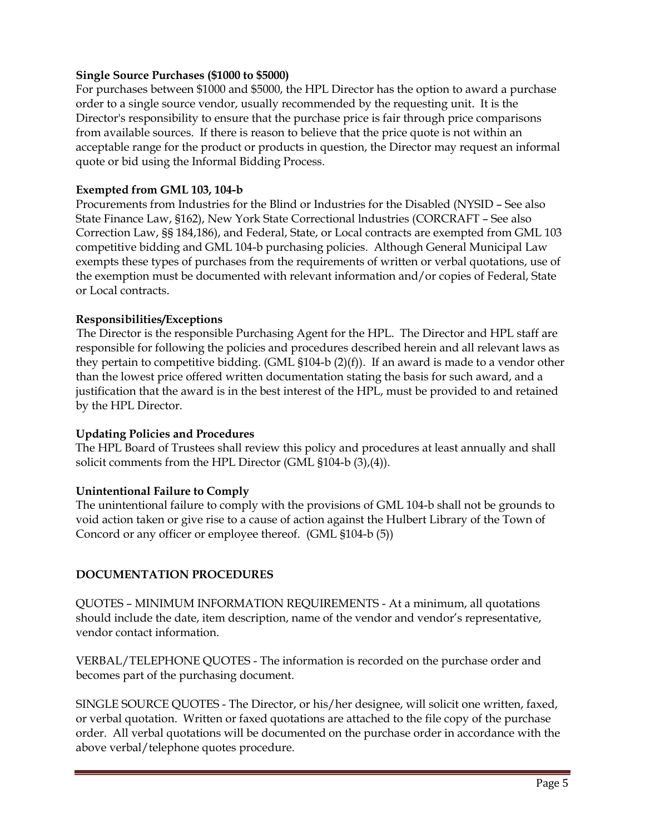## **Single Source Purchases (\$1000 to \$5000)**

For purchases between \$1000 and \$5000, the HPL Director has the option to award a purchase order to a single source vendor, usually recommended by the requesting unit. It is the Director's responsibility to ensure that the purchase price is fair through price comparisons from available sources. If there is reason to believe that the price quote is not within an acceptable range for the product or products in question, the Director may request an informal quote or bid using the Informal Bidding Process.

## **Exempted from GML 103, 104-b**

Procurements from Industries for the Blind or Industries for the Disabled (NYSID – See also State Finance Law, §162), New York State Correctional lndustries (CORCRAFT – See also Correction Law, §§ 184,186), and Federal, State, or Local contracts are exempted from GML 103 competitive bidding and GML 104-b purchasing policies. Although General Municipal Law exempts these types of purchases from the requirements of written or verbal quotations, use of the exemption must be documented with relevant information and/or copies of Federal, State or Local contracts.

## **Responsibilities/Exceptions**

The Director is the responsible Purchasing Agent for the HPL. The Director and HPL staff are responsible for following the policies and procedures described herein and all relevant laws as they pertain to competitive bidding. (GML  $$104-b (2)(f)$ ). If an award is made to a vendor other than the lowest price offered written documentation stating the basis for such award, and a justification that the award is in the best interest of the HPL, must be provided to and retained by the HPL Director.

## **Updating Policies and Procedures**

The HPL Board of Trustees shall review this policy and procedures at least annually and shall solicit comments from the HPL Director (GML §104-b (3),(4)).

## **Unintentional Failure to Comply**

The unintentional failure to comply with the provisions of GML 104-b shall not be grounds to void action taken or give rise to a cause of action against the Hulbert Library of the Town of Concord or any officer or employee thereof. (GML §104-b (5))

# **DOCUMENTATION PROCEDURES**

QUOTES – MINIMUM INFORMATION REQUIREMENTS - At a minimum, all quotations should include the date, item description, name of the vendor and vendor's representative, vendor contact information.

VERBAL/TELEPHONE QUOTES - The information is recorded on the purchase order and becomes part of the purchasing document.

SINGLE SOURCE QUOTES - The Director, or his/her designee, will solicit one written, faxed, or verbal quotation. Written or faxed quotations are attached to the file copy of the purchase order. All verbal quotations will be documented on the purchase order in accordance with the above verbal/telephone quotes procedure.